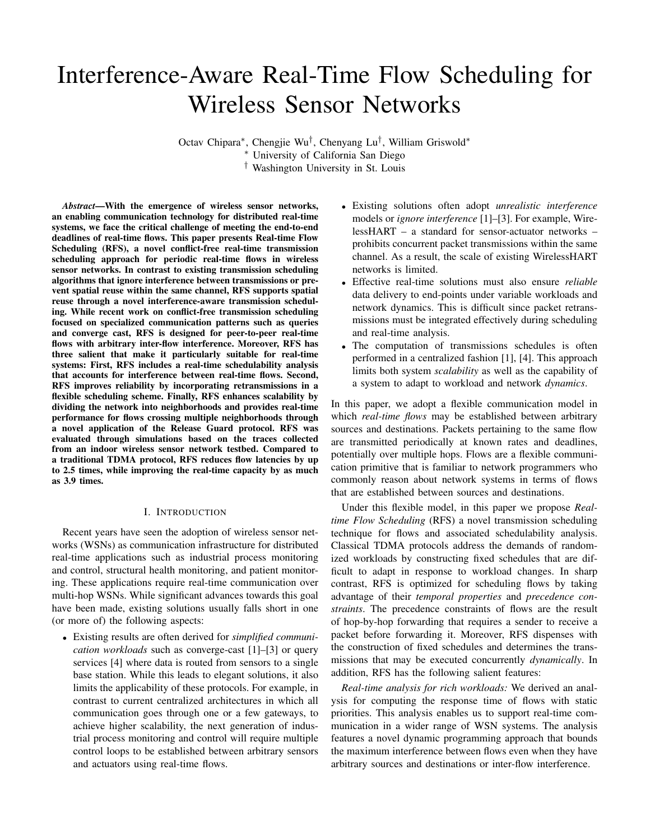# Interference-Aware Real-Time Flow Scheduling for Wireless Sensor Networks

Octav Chipara<sup>∗</sup> , Chengjie Wu† , Chenyang Lu† , William Griswold<sup>∗</sup> <sup>∗</sup> University of California San Diego

† Washington University in St. Louis

*Abstract*—With the emergence of wireless sensor networks, an enabling communication technology for distributed real-time systems, we face the critical challenge of meeting the end-to-end deadlines of real-time flows. This paper presents Real-time Flow Scheduling (RFS), a novel conflict-free real-time transmission scheduling approach for periodic real-time flows in wireless sensor networks. In contrast to existing transmission scheduling algorithms that ignore interference between transmissions or prevent spatial reuse within the same channel, RFS supports spatial reuse through a novel interference-aware transmission scheduling. While recent work on conflict-free transmission scheduling focused on specialized communication patterns such as queries and converge cast, RFS is designed for peer-to-peer real-time flows with arbitrary inter-flow interference. Moreover, RFS has three salient that make it particularly suitable for real-time systems: First, RFS includes a real-time schedulability analysis that accounts for interference between real-time flows. Second, RFS improves reliability by incorporating retransmissions in a flexible scheduling scheme. Finally, RFS enhances scalability by dividing the network into neighborhoods and provides real-time performance for flows crossing multiple neighborhoods through a novel application of the Release Guard protocol. RFS was evaluated through simulations based on the traces collected from an indoor wireless sensor network testbed. Compared to a traditional TDMA protocol, RFS reduces flow latencies by up to 2.5 times, while improving the real-time capacity by as much as 3.9 times.

# I. INTRODUCTION

Recent years have seen the adoption of wireless sensor networks (WSNs) as communication infrastructure for distributed real-time applications such as industrial process monitoring and control, structural health monitoring, and patient monitoring. These applications require real-time communication over multi-hop WSNs. While significant advances towards this goal have been made, existing solutions usually falls short in one (or more of) the following aspects:

• Existing results are often derived for *simplified communication workloads* such as converge-cast [1]–[3] or query services [4] where data is routed from sensors to a single base station. While this leads to elegant solutions, it also limits the applicability of these protocols. For example, in contrast to current centralized architectures in which all communication goes through one or a few gateways, to achieve higher scalability, the next generation of industrial process monitoring and control will require multiple control loops to be established between arbitrary sensors and actuators using real-time flows.

- Existing solutions often adopt *unrealistic interference* models or *ignore interference* [1]–[3]. For example, WirelessHART – a standard for sensor-actuator networks – prohibits concurrent packet transmissions within the same channel. As a result, the scale of existing WirelessHART networks is limited.
- Effective real-time solutions must also ensure *reliable* data delivery to end-points under variable workloads and network dynamics. This is difficult since packet retransmissions must be integrated effectively during scheduling and real-time analysis.
- The computation of transmissions schedules is often performed in a centralized fashion [1], [4]. This approach limits both system *scalability* as well as the capability of a system to adapt to workload and network *dynamics*.

In this paper, we adopt a flexible communication model in which *real-time flows* may be established between arbitrary sources and destinations. Packets pertaining to the same flow are transmitted periodically at known rates and deadlines, potentially over multiple hops. Flows are a flexible communication primitive that is familiar to network programmers who commonly reason about network systems in terms of flows that are established between sources and destinations.

Under this flexible model, in this paper we propose *Realtime Flow Scheduling* (RFS) a novel transmission scheduling technique for flows and associated schedulability analysis. Classical TDMA protocols address the demands of randomized workloads by constructing fixed schedules that are difficult to adapt in response to workload changes. In sharp contrast, RFS is optimized for scheduling flows by taking advantage of their *temporal properties* and *precedence constraints*. The precedence constraints of flows are the result of hop-by-hop forwarding that requires a sender to receive a packet before forwarding it. Moreover, RFS dispenses with the construction of fixed schedules and determines the transmissions that may be executed concurrently *dynamically*. In addition, RFS has the following salient features:

*Real-time analysis for rich workloads:* We derived an analysis for computing the response time of flows with static priorities. This analysis enables us to support real-time communication in a wider range of WSN systems. The analysis features a novel dynamic programming approach that bounds the maximum interference between flows even when they have arbitrary sources and destinations or inter-flow interference.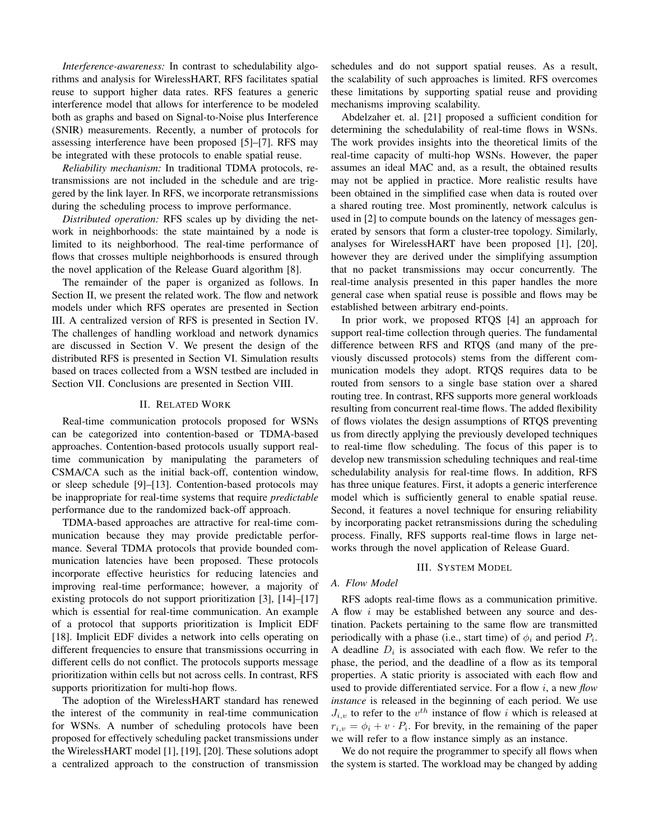*Interference-awareness:* In contrast to schedulability algorithms and analysis for WirelessHART, RFS facilitates spatial reuse to support higher data rates. RFS features a generic interference model that allows for interference to be modeled both as graphs and based on Signal-to-Noise plus Interference (SNIR) measurements. Recently, a number of protocols for assessing interference have been proposed [5]–[7]. RFS may be integrated with these protocols to enable spatial reuse.

*Reliability mechanism:* In traditional TDMA protocols, retransmissions are not included in the schedule and are triggered by the link layer. In RFS, we incorporate retransmissions during the scheduling process to improve performance.

*Distributed operation:* RFS scales up by dividing the network in neighborhoods: the state maintained by a node is limited to its neighborhood. The real-time performance of flows that crosses multiple neighborhoods is ensured through the novel application of the Release Guard algorithm [8].

The remainder of the paper is organized as follows. In Section II, we present the related work. The flow and network models under which RFS operates are presented in Section III. A centralized version of RFS is presented in Section IV. The challenges of handling workload and network dynamics are discussed in Section V. We present the design of the distributed RFS is presented in Section VI. Simulation results based on traces collected from a WSN testbed are included in Section VII. Conclusions are presented in Section VIII.

#### II. RELATED WORK

Real-time communication protocols proposed for WSNs can be categorized into contention-based or TDMA-based approaches. Contention-based protocols usually support realtime communication by manipulating the parameters of CSMA/CA such as the initial back-off, contention window, or sleep schedule [9]–[13]. Contention-based protocols may be inappropriate for real-time systems that require *predictable* performance due to the randomized back-off approach.

TDMA-based approaches are attractive for real-time communication because they may provide predictable performance. Several TDMA protocols that provide bounded communication latencies have been proposed. These protocols incorporate effective heuristics for reducing latencies and improving real-time performance; however, a majority of existing protocols do not support prioritization [3], [14]–[17] which is essential for real-time communication. An example of a protocol that supports prioritization is Implicit EDF [18]. Implicit EDF divides a network into cells operating on different frequencies to ensure that transmissions occurring in different cells do not conflict. The protocols supports message prioritization within cells but not across cells. In contrast, RFS supports prioritization for multi-hop flows.

The adoption of the WirelessHART standard has renewed the interest of the community in real-time communication for WSNs. A number of scheduling protocols have been proposed for effectively scheduling packet transmissions under the WirelessHART model [1], [19], [20]. These solutions adopt a centralized approach to the construction of transmission schedules and do not support spatial reuses. As a result, the scalability of such approaches is limited. RFS overcomes these limitations by supporting spatial reuse and providing mechanisms improving scalability.

Abdelzaher et. al. [21] proposed a sufficient condition for determining the schedulability of real-time flows in WSNs. The work provides insights into the theoretical limits of the real-time capacity of multi-hop WSNs. However, the paper assumes an ideal MAC and, as a result, the obtained results may not be applied in practice. More realistic results have been obtained in the simplified case when data is routed over a shared routing tree. Most prominently, network calculus is used in [2] to compute bounds on the latency of messages generated by sensors that form a cluster-tree topology. Similarly, analyses for WirelessHART have been proposed [1], [20], however they are derived under the simplifying assumption that no packet transmissions may occur concurrently. The real-time analysis presented in this paper handles the more general case when spatial reuse is possible and flows may be established between arbitrary end-points.

In prior work, we proposed RTQS [4] an approach for support real-time collection through queries. The fundamental difference between RFS and RTQS (and many of the previously discussed protocols) stems from the different communication models they adopt. RTQS requires data to be routed from sensors to a single base station over a shared routing tree. In contrast, RFS supports more general workloads resulting from concurrent real-time flows. The added flexibility of flows violates the design assumptions of RTQS preventing us from directly applying the previously developed techniques to real-time flow scheduling. The focus of this paper is to develop new transmission scheduling techniques and real-time schedulability analysis for real-time flows. In addition, RFS has three unique features. First, it adopts a generic interference model which is sufficiently general to enable spatial reuse. Second, it features a novel technique for ensuring reliability by incorporating packet retransmissions during the scheduling process. Finally, RFS supports real-time flows in large networks through the novel application of Release Guard.

#### III. SYSTEM MODEL

# *A. Flow Model*

RFS adopts real-time flows as a communication primitive. A flow i may be established between any source and destination. Packets pertaining to the same flow are transmitted periodically with a phase (i.e., start time) of  $\phi_i$  and period  $P_i$ . A deadline  $D_i$  is associated with each flow. We refer to the phase, the period, and the deadline of a flow as its temporal properties. A static priority is associated with each flow and used to provide differentiated service. For a flow i, a new *flow instance* is released in the beginning of each period. We use  $J_{i,v}$  to refer to the  $v^{th}$  instance of flow i which is released at  $r_{i,v} = \phi_i + v \cdot P_i$ . For brevity, in the remaining of the paper we will refer to a flow instance simply as an instance.

We do not require the programmer to specify all flows when the system is started. The workload may be changed by adding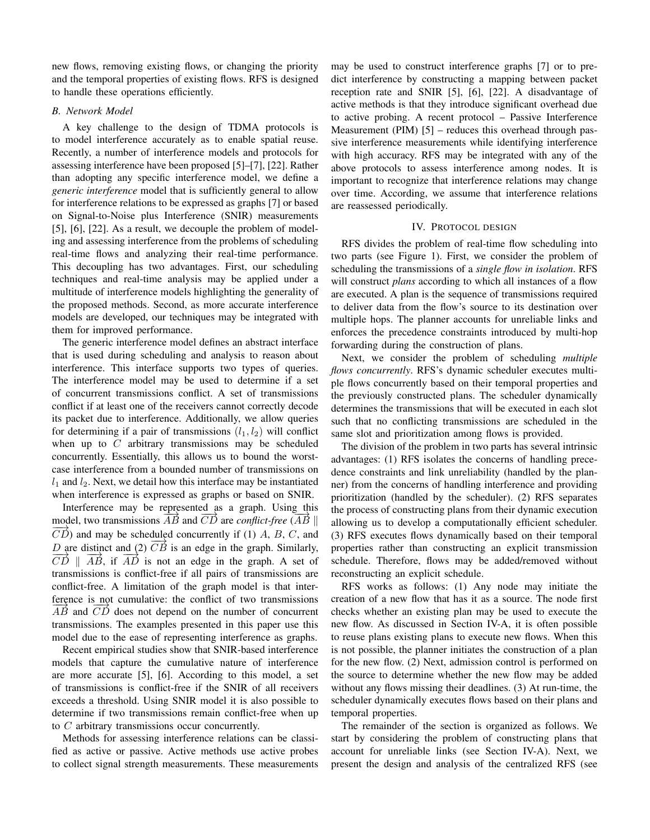new flows, removing existing flows, or changing the priority and the temporal properties of existing flows. RFS is designed to handle these operations efficiently.

## *B. Network Model*

A key challenge to the design of TDMA protocols is to model interference accurately as to enable spatial reuse. Recently, a number of interference models and protocols for assessing interference have been proposed [5]–[7], [22]. Rather than adopting any specific interference model, we define a *generic interference* model that is sufficiently general to allow for interference relations to be expressed as graphs [7] or based on Signal-to-Noise plus Interference (SNIR) measurements [5], [6], [22]. As a result, we decouple the problem of modeling and assessing interference from the problems of scheduling real-time flows and analyzing their real-time performance. This decoupling has two advantages. First, our scheduling techniques and real-time analysis may be applied under a multitude of interference models highlighting the generality of the proposed methods. Second, as more accurate interference models are developed, our techniques may be integrated with them for improved performance.

The generic interference model defines an abstract interface that is used during scheduling and analysis to reason about interference. This interface supports two types of queries. The interference model may be used to determine if a set of concurrent transmissions conflict. A set of transmissions conflict if at least one of the receivers cannot correctly decode its packet due to interference. Additionally, we allow queries for determining if a pair of transmissions  $(l_1, l_2)$  will conflict when up to  $C$  arbitrary transmissions may be scheduled concurrently. Essentially, this allows us to bound the worstcase interference from a bounded number of transmissions on  $l_1$  and  $l_2$ . Next, we detail how this interface may be instantiated when interference is expressed as graphs or based on SNIR.

Interference may be represented as a graph. Using this mericince may be represented as a graph. Using this model, two transmissions  $\overrightarrow{AB}$  and  $\overrightarrow{CD}$  are *conflict-free* ( $\overrightarrow{AB}$  ||  $\overrightarrow{CD}$ ) and may be scheduled concurrently if (1) A, B, C, and  $(D, D)$  and may be sended concurrently if (1) 21,  $D$ ,  $C$ , and  $D$  are distinct and (2)  $\overrightarrow{CB}$  is an edge in the graph. Similarly,  $\overrightarrow{CD}$  ||  $\overrightarrow{AB}$ , if  $\overrightarrow{AD}$  is not an edge in the graph. A set of transmissions is conflict-free if all pairs of transmissions are conflict-free. A limitation of the graph model is that interference is not cumulative: the conflict of two transmissions  $\overrightarrow{AB}$  and  $\overrightarrow{CD}$  does not depend on the number of concurrent transmissions. The examples presented in this paper use this model due to the ease of representing interference as graphs.

Recent empirical studies show that SNIR-based interference models that capture the cumulative nature of interference are more accurate [5], [6]. According to this model, a set of transmissions is conflict-free if the SNIR of all receivers exceeds a threshold. Using SNIR model it is also possible to determine if two transmissions remain conflict-free when up to C arbitrary transmissions occur concurrently.

Methods for assessing interference relations can be classified as active or passive. Active methods use active probes to collect signal strength measurements. These measurements may be used to construct interference graphs [7] or to predict interference by constructing a mapping between packet reception rate and SNIR [5], [6], [22]. A disadvantage of active methods is that they introduce significant overhead due to active probing. A recent protocol – Passive Interference Measurement (PIM) [5] – reduces this overhead through passive interference measurements while identifying interference with high accuracy. RFS may be integrated with any of the above protocols to assess interference among nodes. It is important to recognize that interference relations may change over time. According, we assume that interference relations are reassessed periodically.

# IV. PROTOCOL DESIGN

RFS divides the problem of real-time flow scheduling into two parts (see Figure 1). First, we consider the problem of scheduling the transmissions of a *single flow in isolation*. RFS will construct *plans* according to which all instances of a flow are executed. A plan is the sequence of transmissions required to deliver data from the flow's source to its destination over multiple hops. The planner accounts for unreliable links and enforces the precedence constraints introduced by multi-hop forwarding during the construction of plans.

Next, we consider the problem of scheduling *multiple flows concurrently*. RFS's dynamic scheduler executes multiple flows concurrently based on their temporal properties and the previously constructed plans. The scheduler dynamically determines the transmissions that will be executed in each slot such that no conflicting transmissions are scheduled in the same slot and prioritization among flows is provided.

The division of the problem in two parts has several intrinsic advantages: (1) RFS isolates the concerns of handling precedence constraints and link unreliability (handled by the planner) from the concerns of handling interference and providing prioritization (handled by the scheduler). (2) RFS separates the process of constructing plans from their dynamic execution allowing us to develop a computationally efficient scheduler. (3) RFS executes flows dynamically based on their temporal properties rather than constructing an explicit transmission schedule. Therefore, flows may be added/removed without reconstructing an explicit schedule.

RFS works as follows: (1) Any node may initiate the creation of a new flow that has it as a source. The node first checks whether an existing plan may be used to execute the new flow. As discussed in Section IV-A, it is often possible to reuse plans existing plans to execute new flows. When this is not possible, the planner initiates the construction of a plan for the new flow. (2) Next, admission control is performed on the source to determine whether the new flow may be added without any flows missing their deadlines. (3) At run-time, the scheduler dynamically executes flows based on their plans and temporal properties.

The remainder of the section is organized as follows. We start by considering the problem of constructing plans that account for unreliable links (see Section IV-A). Next, we present the design and analysis of the centralized RFS (see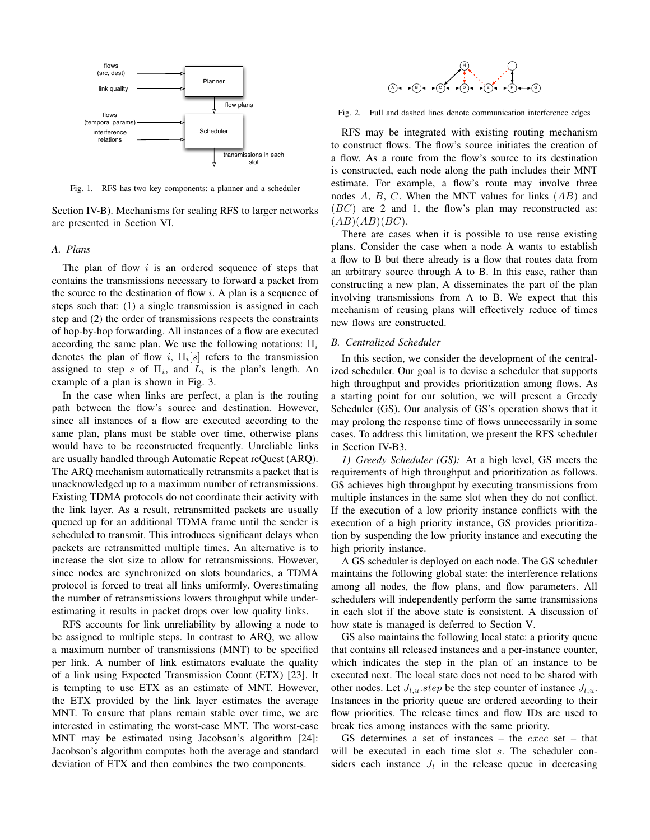

Fig. 1. RFS has two key components: a planner and a scheduler

Section IV-B). Mechanisms for scaling RFS to larger networks are presented in Section VI.

# *A. Plans*

The plan of flow  $i$  is an ordered sequence of steps that contains the transmissions necessary to forward a packet from the source to the destination of flow  $i$ . A plan is a sequence of steps such that: (1) a single transmission is assigned in each step and (2) the order of transmissions respects the constraints of hop-by-hop forwarding. All instances of a flow are executed according the same plan. We use the following notations:  $\Pi_i$ denotes the plan of flow i,  $\Pi_i[s]$  refers to the transmission assigned to step s of  $\Pi_i$ , and  $L_i$  is the plan's length. An example of a plan is shown in Fig. 3.

In the case when links are perfect, a plan is the routing path between the flow's source and destination. However, since all instances of a flow are executed according to the same plan, plans must be stable over time, otherwise plans would have to be reconstructed frequently. Unreliable links are usually handled through Automatic Repeat reQuest (ARQ). The ARQ mechanism automatically retransmits a packet that is unacknowledged up to a maximum number of retransmissions. Existing TDMA protocols do not coordinate their activity with the link layer. As a result, retransmitted packets are usually queued up for an additional TDMA frame until the sender is scheduled to transmit. This introduces significant delays when packets are retransmitted multiple times. An alternative is to increase the slot size to allow for retransmissions. However, since nodes are synchronized on slots boundaries, a TDMA protocol is forced to treat all links uniformly. Overestimating the number of retransmissions lowers throughput while underestimating it results in packet drops over low quality links.

RFS accounts for link unreliability by allowing a node to be assigned to multiple steps. In contrast to ARQ, we allow a maximum number of transmissions (MNT) to be specified per link. A number of link estimators evaluate the quality of a link using Expected Transmission Count (ETX) [23]. It is tempting to use ETX as an estimate of MNT. However, the ETX provided by the link layer estimates the average MNT. To ensure that plans remain stable over time, we are interested in estimating the worst-case MNT. The worst-case MNT may be estimated using Jacobson's algorithm [24]: Jacobson's algorithm computes both the average and standard deviation of ETX and then combines the two components.



Fig. 2. Full and dashed lines denote communication interference edges

RFS may be integrated with existing routing mechanism to construct flows. The flow's source initiates the creation of a flow. As a route from the flow's source to its destination is constructed, each node along the path includes their MNT estimate. For example, a flow's route may involve three nodes  $A$ ,  $B$ ,  $C$ . When the MNT values for links  $(AB)$  and  $(BC)$  are 2 and 1, the flow's plan may reconstructed as:  $(AB)(AB)(BC).$ 

There are cases when it is possible to use reuse existing plans. Consider the case when a node A wants to establish a flow to B but there already is a flow that routes data from an arbitrary source through A to B. In this case, rather than constructing a new plan, A disseminates the part of the plan involving transmissions from A to B. We expect that this mechanism of reusing plans will effectively reduce of times new flows are constructed.

# *B. Centralized Scheduler*

In this section, we consider the development of the centralized scheduler. Our goal is to devise a scheduler that supports high throughput and provides prioritization among flows. As a starting point for our solution, we will present a Greedy Scheduler (GS). Our analysis of GS's operation shows that it may prolong the response time of flows unnecessarily in some cases. To address this limitation, we present the RFS scheduler in Section IV-B3.

*1) Greedy Scheduler (GS):* At a high level, GS meets the requirements of high throughput and prioritization as follows. GS achieves high throughput by executing transmissions from multiple instances in the same slot when they do not conflict. If the execution of a low priority instance conflicts with the execution of a high priority instance, GS provides prioritization by suspending the low priority instance and executing the high priority instance.

A GS scheduler is deployed on each node. The GS scheduler maintains the following global state: the interference relations among all nodes, the flow plans, and flow parameters. All schedulers will independently perform the same transmissions in each slot if the above state is consistent. A discussion of how state is managed is deferred to Section V.

GS also maintains the following local state: a priority queue that contains all released instances and a per-instance counter, which indicates the step in the plan of an instance to be executed next. The local state does not need to be shared with other nodes. Let  $J_{l,u}$  step be the step counter of instance  $J_{l,u}$ . Instances in the priority queue are ordered according to their flow priorities. The release times and flow IDs are used to break ties among instances with the same priority.

GS determines a set of instances – the exec set – that will be executed in each time slot s. The scheduler considers each instance  $J_l$  in the release queue in decreasing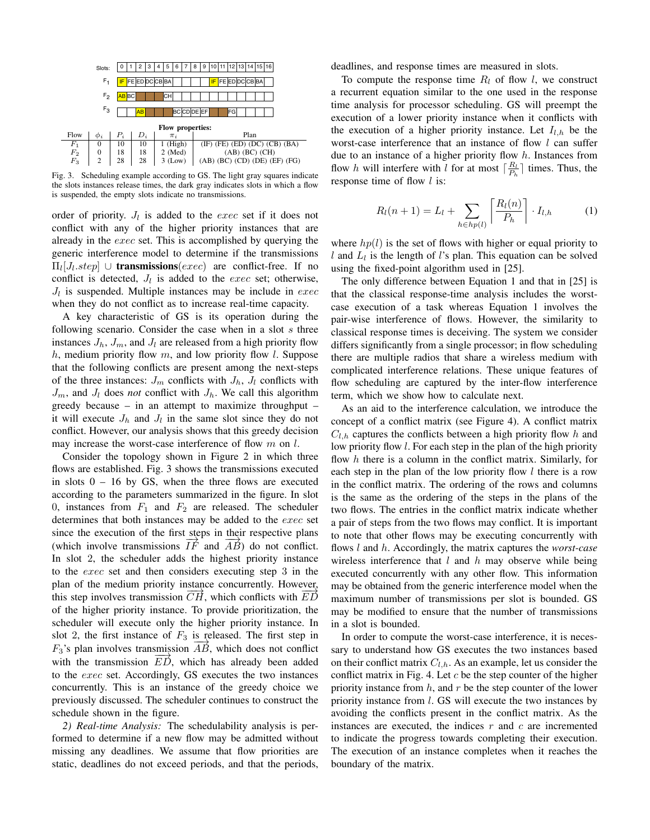

Fig. 3. Scheduling example according to GS. The light gray squares indicate the slots instances release times, the dark gray indicates slots in which a flow is suspended, the empty slots indicate no transmissions.

order of priority.  $J_l$  is added to the *exec* set if it does not conflict with any of the higher priority instances that are already in the exec set. This is accomplished by querying the generic interference model to determine if the transmissions  $\Pi_l[J_l.step] \cup$  transmissions (*exec*) are conflict-free. If no conflict is detected,  $J_l$  is added to the *exec* set; otherwise,  $J_l$  is suspended. Multiple instances may be include in  $exec$ when they do not conflict as to increase real-time capacity.

A key characteristic of GS is its operation during the following scenario. Consider the case when in a slot  $s$  three instances  $J_h$ ,  $J_m$ , and  $J_l$  are released from a high priority flow h, medium priority flow  $m$ , and low priority flow l. Suppose that the following conflicts are present among the next-steps of the three instances:  $J_m$  conflicts with  $J_h$ ,  $J_l$  conflicts with  $J_m$ , and  $J_l$  does *not* conflict with  $J_h$ . We call this algorithm greedy because – in an attempt to maximize throughput – it will execute  $J_h$  and  $J_l$  in the same slot since they do not conflict. However, our analysis shows that this greedy decision may increase the worst-case interference of flow  $m$  on  $l$ .

Consider the topology shown in Figure 2 in which three flows are established. Fig. 3 shows the transmissions executed in slots  $0 - 16$  by GS, when the three flows are executed according to the parameters summarized in the figure. In slot 0, instances from  $F_1$  and  $F_2$  are released. The scheduler determines that both instances may be added to the exec set since the execution of the first steps in their respective plans (which involve transmissions  $\overrightarrow{IF}$  and  $\overrightarrow{AB}$ ) do not conflict. In slot 2, the scheduler adds the highest priority instance to the exec set and then considers executing step 3 in the plan of the medium priority instance concurrently. However, this step involves transmission  $\overrightarrow{CH}$ , which conflicts with  $\overrightarrow{ED}$ of the higher priority instance. To provide prioritization, the scheduler will execute only the higher priority instance. In slot 2, the first instance of  $F_3$  is released. The first step in  $F_3$ 's plan involves transmission  $\overrightarrow{AB}$ , which does not conflict  $\overline{FD}$ , which does not connect<br>with the transmission  $\overline{ED}$ , which has already been added to the exec set. Accordingly, GS executes the two instances concurrently. This is an instance of the greedy choice we previously discussed. The scheduler continues to construct the schedule shown in the figure.

*2) Real-time Analysis:* The schedulability analysis is performed to determine if a new flow may be admitted without missing any deadlines. We assume that flow priorities are static, deadlines do not exceed periods, and that the periods, deadlines, and response times are measured in slots.

To compute the response time  $R_l$  of flow l, we construct a recurrent equation similar to the one used in the response time analysis for processor scheduling. GS will preempt the execution of a lower priority instance when it conflicts with the execution of a higher priority instance. Let  $I_{l,h}$  be the worst-case interference that an instance of flow  $l$  can suffer due to an instance of a higher priority flow  $h$ . Instances from flow h will interfere with l for at most  $\lceil \frac{R_l}{P_h} \rceil$  times. Thus, the response time of flow  $l$  is:

$$
R_l(n+1) = L_l + \sum_{h \in hp(l)} \left[ \frac{R_l(n)}{P_h} \right] \cdot I_{l,h} \tag{1}
$$

where  $hp(l)$  is the set of flows with higher or equal priority to l and  $L_l$  is the length of l's plan. This equation can be solved using the fixed-point algorithm used in [25].

The only difference between Equation 1 and that in [25] is that the classical response-time analysis includes the worstcase execution of a task whereas Equation 1 involves the pair-wise interference of flows. However, the similarity to classical response times is deceiving. The system we consider differs significantly from a single processor; in flow scheduling there are multiple radios that share a wireless medium with complicated interference relations. These unique features of flow scheduling are captured by the inter-flow interference term, which we show how to calculate next.

As an aid to the interference calculation, we introduce the concept of a conflict matrix (see Figure 4). A conflict matrix  $C_{l,h}$  captures the conflicts between a high priority flow h and low priority flow *l*. For each step in the plan of the high priority flow  $h$  there is a column in the conflict matrix. Similarly, for each step in the plan of the low priority flow  $l$  there is a row in the conflict matrix. The ordering of the rows and columns is the same as the ordering of the steps in the plans of the two flows. The entries in the conflict matrix indicate whether a pair of steps from the two flows may conflict. It is important to note that other flows may be executing concurrently with flows l and h. Accordingly, the matrix captures the *worst-case* wireless interference that  $l$  and  $h$  may observe while being executed concurrently with any other flow. This information may be obtained from the generic interference model when the maximum number of transmissions per slot is bounded. GS may be modified to ensure that the number of transmissions in a slot is bounded.

In order to compute the worst-case interference, it is necessary to understand how GS executes the two instances based on their conflict matrix  $C_{l,h}$ . As an example, let us consider the conflict matrix in Fig. 4. Let  $c$  be the step counter of the higher priority instance from  $h$ , and  $r$  be the step counter of the lower priority instance from l. GS will execute the two instances by avoiding the conflicts present in the conflict matrix. As the instances are executed, the indices  $r$  and  $c$  are incremented to indicate the progress towards completing their execution. The execution of an instance completes when it reaches the boundary of the matrix.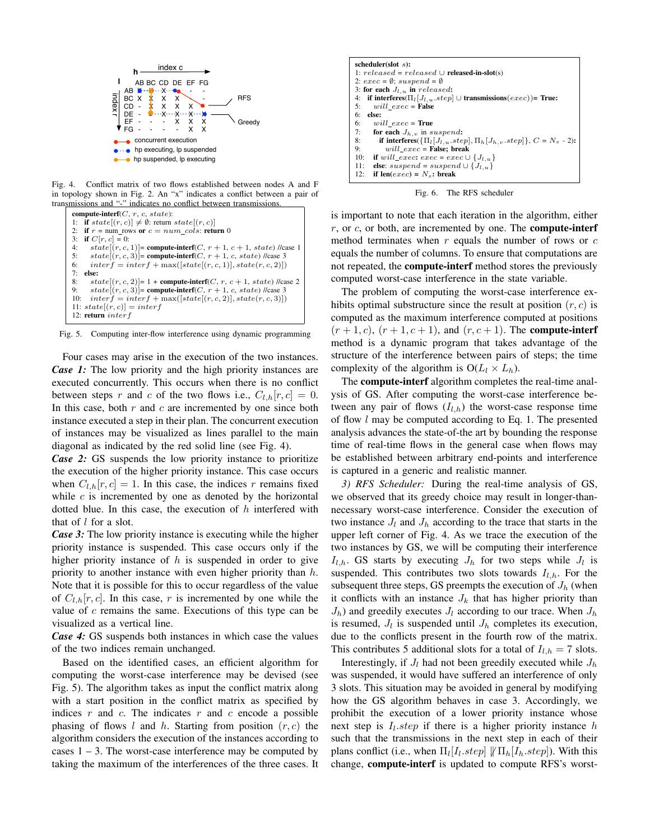

Fig. 4. Conflict matrix of two flows established between nodes A and F in topology shown in Fig. 2. An "x" indicates a conflict between a pair of transmissions and "-" indicates no conflict between transmissions.

```
compute-interf(C, r, c, state):
1: if state[(r, c)] \neq \emptyset: return state[(r, c)]2: if r = num_rows or c = num\_cols: return 0
3: if C[r, c] = 0:
4: state[(r, c, 1)]= compute-interf(C, r + 1, c + 1, state) //case 1
5: state[(r, c, 3)] = compute-interf(C, r + 1, c, state) //case 3
6: interf = interf + max([state[(r, c, 1)], state(r, c, 2)])<br>7. else
    7: else:
8: state[(r, c, 2)] = 1 + \text{compute-interf}(C, r, c + 1, state) //case 2<br>9: state[(r, c, 3)] = \text{compute-interf}(C, r + 1, c, state) //case 3
       state[(r, c, 3)]= compute-interf(C, r + 1, c, state) //case 3
10: interf = interf + max([state[(r, c, 2)], state(r, c, 3)])11: state[(r, c)] = interf12: return interf
```
Fig. 5. Computing inter-flow interference using dynamic programming

Four cases may arise in the execution of the two instances. *Case 1:* The low priority and the high priority instances are executed concurrently. This occurs when there is no conflict between steps r and c of the two flows i.e.,  $C_{l,h}[r, c] = 0$ . In this case, both  $r$  and  $c$  are incremented by one since both instance executed a step in their plan. The concurrent execution of instances may be visualized as lines parallel to the main diagonal as indicated by the red solid line (see Fig. 4).

*Case 2:* GS suspends the low priority instance to prioritize the execution of the higher priority instance. This case occurs when  $C_{l,h}[r, c] = 1$ . In this case, the indices r remains fixed while  $c$  is incremented by one as denoted by the horizontal dotted blue. In this case, the execution of  $h$  interfered with that of  $l$  for a slot.

*Case 3:* The low priority instance is executing while the higher priority instance is suspended. This case occurs only if the higher priority instance of  $h$  is suspended in order to give priority to another instance with even higher priority than  $h$ . Note that it is possible for this to occur regardless of the value of  $C_{l,h}[r, c]$ . In this case, r is incremented by one while the value of  $c$  remains the same. Executions of this type can be visualized as a vertical line.

*Case 4:* GS suspends both instances in which case the values of the two indices remain unchanged.

Based on the identified cases, an efficient algorithm for computing the worst-case interference may be devised (see Fig. 5). The algorithm takes as input the conflict matrix along with a start position in the conflict matrix as specified by indices r and c. The indicates r and c encode a possible phasing of flows l and h. Starting from position  $(r, c)$  the algorithm considers the execution of the instances according to cases  $1 - 3$ . The worst-case interference may be computed by taking the maximum of the interferences of the three cases. It





is important to note that each iteration in the algorithm, either  $r$ , or  $c$ , or both, are incremented by one. The **compute-interf** method terminates when  $r$  equals the number of rows or  $c$ equals the number of columns. To ensure that computations are not repeated, the **compute-interf** method stores the previously computed worst-case interference in the state variable.

The problem of computing the worst-case interference exhibits optimal substructure since the result at position  $(r, c)$  is computed as the maximum interference computed at positions  $(r+1, c)$ ,  $(r+1, c+1)$ , and  $(r, c+1)$ . The **compute-interf** method is a dynamic program that takes advantage of the structure of the interference between pairs of steps; the time complexity of the algorithm is  $O(L_l \times L_h)$ .

The compute-interf algorithm completes the real-time analysis of GS. After computing the worst-case interference between any pair of flows  $(I_{l,h})$  the worst-case response time of flow  $l$  may be computed according to Eq. 1. The presented analysis advances the state-of-the art by bounding the response time of real-time flows in the general case when flows may be established between arbitrary end-points and interference is captured in a generic and realistic manner.

*3) RFS Scheduler:* During the real-time analysis of GS, we observed that its greedy choice may result in longer-thannecessary worst-case interference. Consider the execution of two instance  $J_l$  and  $J_h$  according to the trace that starts in the upper left corner of Fig. 4. As we trace the execution of the two instances by GS, we will be computing their interference  $I_{l,h}$ . GS starts by executing  $J_h$  for two steps while  $J_l$  is suspended. This contributes two slots towards  $I_{l,h}$ . For the subsequent three steps, GS preempts the execution of  $J<sub>h</sub>$  (when it conflicts with an instance  $J_k$  that has higher priority than  $J_h$ ) and greedily executes  $J_l$  according to our trace. When  $J_h$ is resumed,  $J_l$  is suspended until  $J_h$  completes its execution, due to the conflicts present in the fourth row of the matrix. This contributes 5 additional slots for a total of  $I_{l,h} = 7$  slots.

Interestingly, if  $J_l$  had not been greedily executed while  $J_h$ was suspended, it would have suffered an interference of only 3 slots. This situation may be avoided in general by modifying how the GS algorithm behaves in case 3. Accordingly, we prohibit the execution of a lower priority instance whose next step is  $I_l.setep$  if there is a higher priority instance h such that the transmissions in the next step in each of their plans conflict (i.e., when  $\Pi_l[I_l.step]$   $\|\Pi_h[I_h.step]$ ). With this change, compute-interf is updated to compute RFS's worst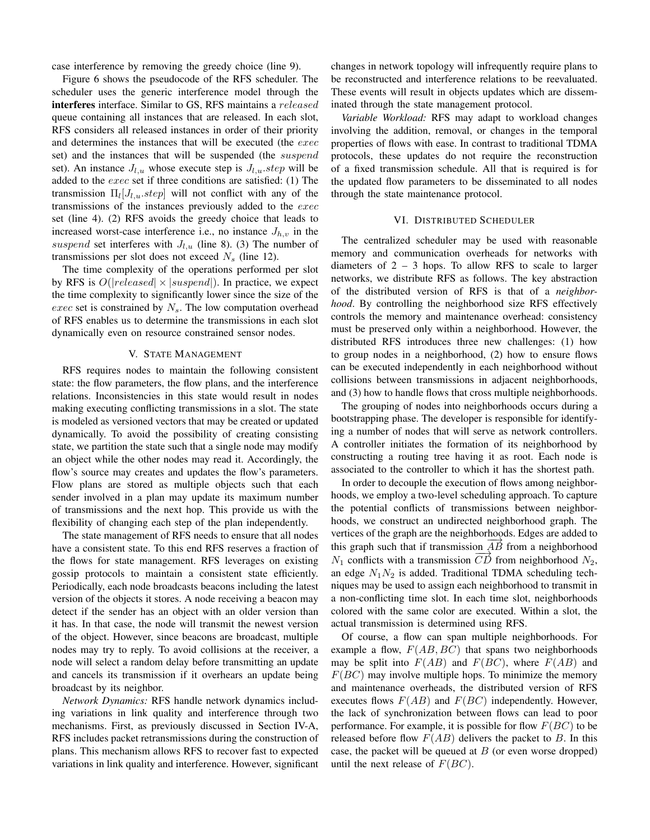case interference by removing the greedy choice (line 9).

Figure 6 shows the pseudocode of the RFS scheduler. The scheduler uses the generic interference model through the interferes interface. Similar to GS, RFS maintains a released queue containing all instances that are released. In each slot, RFS considers all released instances in order of their priority and determines the instances that will be executed (the *exec* set) and the instances that will be suspended (the *suspend* set). An instance  $J_{l,u}$  whose execute step is  $J_{l,u}$  step will be added to the exec set if three conditions are satisfied: (1) The transmission  $\Pi_l[J_{l,u}.step]$  will not conflict with any of the transmissions of the instances previously added to the exec set (line 4). (2) RFS avoids the greedy choice that leads to increased worst-case interference i.e., no instance  $J_{h,v}$  in the suspend set interferes with  $J_{l,u}$  (line 8). (3) The number of transmissions per slot does not exceed  $N_s$  (line 12).

The time complexity of the operations performed per slot by RFS is  $O(|released| \times |suspend|)$ . In practice, we expect the time complexity to significantly lower since the size of the exec set is constrained by  $N_s$ . The low computation overhead of RFS enables us to determine the transmissions in each slot dynamically even on resource constrained sensor nodes.

## V. STATE MANAGEMENT

RFS requires nodes to maintain the following consistent state: the flow parameters, the flow plans, and the interference relations. Inconsistencies in this state would result in nodes making executing conflicting transmissions in a slot. The state is modeled as versioned vectors that may be created or updated dynamically. To avoid the possibility of creating consisting state, we partition the state such that a single node may modify an object while the other nodes may read it. Accordingly, the flow's source may creates and updates the flow's parameters. Flow plans are stored as multiple objects such that each sender involved in a plan may update its maximum number of transmissions and the next hop. This provide us with the flexibility of changing each step of the plan independently.

The state management of RFS needs to ensure that all nodes have a consistent state. To this end RFS reserves a fraction of the flows for state management. RFS leverages on existing gossip protocols to maintain a consistent state efficiently. Periodically, each node broadcasts beacons including the latest version of the objects it stores. A node receiving a beacon may detect if the sender has an object with an older version than it has. In that case, the node will transmit the newest version of the object. However, since beacons are broadcast, multiple nodes may try to reply. To avoid collisions at the receiver, a node will select a random delay before transmitting an update and cancels its transmission if it overhears an update being broadcast by its neighbor.

*Network Dynamics:* RFS handle network dynamics including variations in link quality and interference through two mechanisms. First, as previously discussed in Section IV-A, RFS includes packet retransmissions during the construction of plans. This mechanism allows RFS to recover fast to expected variations in link quality and interference. However, significant

changes in network topology will infrequently require plans to be reconstructed and interference relations to be reevaluated. These events will result in objects updates which are disseminated through the state management protocol.

*Variable Workload:* RFS may adapt to workload changes involving the addition, removal, or changes in the temporal properties of flows with ease. In contrast to traditional TDMA protocols, these updates do not require the reconstruction of a fixed transmission schedule. All that is required is for the updated flow parameters to be disseminated to all nodes through the state maintenance protocol.

## VI. DISTRIBUTED SCHEDULER

The centralized scheduler may be used with reasonable memory and communication overheads for networks with diameters of  $2 - 3$  hops. To allow RFS to scale to larger networks, we distribute RFS as follows. The key abstraction of the distributed version of RFS is that of a *neighborhood*. By controlling the neighborhood size RFS effectively controls the memory and maintenance overhead: consistency must be preserved only within a neighborhood. However, the distributed RFS introduces three new challenges: (1) how to group nodes in a neighborhood, (2) how to ensure flows can be executed independently in each neighborhood without collisions between transmissions in adjacent neighborhoods, and (3) how to handle flows that cross multiple neighborhoods.

The grouping of nodes into neighborhoods occurs during a bootstrapping phase. The developer is responsible for identifying a number of nodes that will serve as network controllers. A controller initiates the formation of its neighborhood by constructing a routing tree having it as root. Each node is associated to the controller to which it has the shortest path.

In order to decouple the execution of flows among neighborhoods, we employ a two-level scheduling approach. To capture the potential conflicts of transmissions between neighborhoods, we construct an undirected neighborhood graph. The vertices of the graph are the neighborhoods. Edges are added to this graph such that if transmission  $\overrightarrow{AB}$  from a neighborhood  $N_1$  conflicts with a transmission  $\overrightarrow{CD}$  from neighborhood  $N_2$ , an edge  $N_1N_2$  is added. Traditional TDMA scheduling techniques may be used to assign each neighborhood to transmit in a non-conflicting time slot. In each time slot, neighborhoods colored with the same color are executed. Within a slot, the actual transmission is determined using RFS.

Of course, a flow can span multiple neighborhoods. For example a flow,  $F(AB, BC)$  that spans two neighborhoods may be split into  $F(AB)$  and  $F(BC)$ , where  $F(AB)$  and  $F(BC)$  may involve multiple hops. To minimize the memory and maintenance overheads, the distributed version of RFS executes flows  $F(AB)$  and  $F(BC)$  independently. However, the lack of synchronization between flows can lead to poor performance. For example, it is possible for flow  $F(BC)$  to be released before flow  $F(AB)$  delivers the packet to B. In this case, the packet will be queued at  $B$  (or even worse dropped) until the next release of  $F(BC)$ .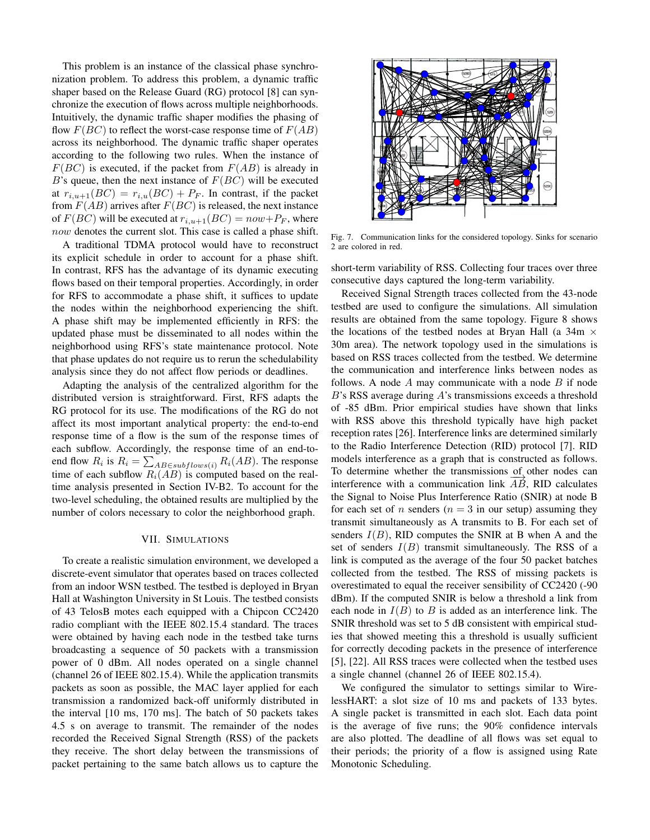This problem is an instance of the classical phase synchronization problem. To address this problem, a dynamic traffic shaper based on the Release Guard (RG) protocol [8] can synchronize the execution of flows across multiple neighborhoods. Intuitively, the dynamic traffic shaper modifies the phasing of flow  $F(BC)$  to reflect the worst-case response time of  $F(AB)$ across its neighborhood. The dynamic traffic shaper operates according to the following two rules. When the instance of  $F(BC)$  is executed, if the packet from  $F(AB)$  is already in  $B$ 's queue, then the next instance of  $F(BC)$  will be executed at  $r_{i,u+1}(BC) = r_{i,u}(BC) + P_F$ . In contrast, if the packet from  $F(AB)$  arrives after  $F(BC)$  is released, the next instance of  $F(BC)$  will be executed at  $r_{i,u+1}(BC) = now + P_F$ , where now denotes the current slot. This case is called a phase shift.

A traditional TDMA protocol would have to reconstruct its explicit schedule in order to account for a phase shift. In contrast, RFS has the advantage of its dynamic executing flows based on their temporal properties. Accordingly, in order for RFS to accommodate a phase shift, it suffices to update the nodes within the neighborhood experiencing the shift. A phase shift may be implemented efficiently in RFS: the updated phase must be disseminated to all nodes within the neighborhood using RFS's state maintenance protocol. Note that phase updates do not require us to rerun the schedulability analysis since they do not affect flow periods or deadlines.

Adapting the analysis of the centralized algorithm for the distributed version is straightforward. First, RFS adapts the RG protocol for its use. The modifications of the RG do not affect its most important analytical property: the end-to-end response time of a flow is the sum of the response times of each subflow. Accordingly, the response time of an end-toend flow  $R_i$  is  $R_i = \sum_{AB \in subflows(i)} R_i(AB)$ . The response time of each subflow  $R_i(AB)$  is computed based on the realtime analysis presented in Section IV-B2. To account for the two-level scheduling, the obtained results are multiplied by the number of colors necessary to color the neighborhood graph.

#### VII. SIMULATIONS

To create a realistic simulation environment, we developed a discrete-event simulator that operates based on traces collected from an indoor WSN testbed. The testbed is deployed in Bryan Hall at Washington University in St Louis. The testbed consists of 43 TelosB motes each equipped with a Chipcon CC2420 radio compliant with the IEEE 802.15.4 standard. The traces were obtained by having each node in the testbed take turns broadcasting a sequence of 50 packets with a transmission power of 0 dBm. All nodes operated on a single channel (channel 26 of IEEE 802.15.4). While the application transmits packets as soon as possible, the MAC layer applied for each transmission a randomized back-off uniformly distributed in the interval [10 ms, 170 ms]. The batch of 50 packets takes 4.5 s on average to transmit. The remainder of the nodes recorded the Received Signal Strength (RSS) of the packets they receive. The short delay between the transmissions of packet pertaining to the same batch allows us to capture the



Fig. 7. Communication links for the considered topology. Sinks for scenario 2 are colored in red.

short-term variability of RSS. Collecting four traces over three consecutive days captured the long-term variability.

Received Signal Strength traces collected from the 43-node testbed are used to configure the simulations. All simulation results are obtained from the same topology. Figure 8 shows the locations of the testbed nodes at Bryan Hall (a  $34m \times$ 30m area). The network topology used in the simulations is based on RSS traces collected from the testbed. We determine the communication and interference links between nodes as follows. A node  $A$  may communicate with a node  $B$  if node B's RSS average during A's transmissions exceeds a threshold of -85 dBm. Prior empirical studies have shown that links with RSS above this threshold typically have high packet reception rates [26]. Interference links are determined similarly to the Radio Interference Detection (RID) protocol [7]. RID models interference as a graph that is constructed as follows. To determine whether the transmissions of other nodes can To determine whether the transmissions of other hodes can<br>interference with a communication link  $\overrightarrow{AB}$ , RID calculates the Signal to Noise Plus Interference Ratio (SNIR) at node B for each set of n senders ( $n = 3$  in our setup) assuming they transmit simultaneously as A transmits to B. For each set of senders  $I(B)$ , RID computes the SNIR at B when A and the set of senders  $I(B)$  transmit simultaneously. The RSS of a link is computed as the average of the four 50 packet batches collected from the testbed. The RSS of missing packets is overestimated to equal the receiver sensibility of CC2420 (-90 dBm). If the computed SNIR is below a threshold a link from each node in  $I(B)$  to B is added as an interference link. The SNIR threshold was set to 5 dB consistent with empirical studies that showed meeting this a threshold is usually sufficient for correctly decoding packets in the presence of interference [5], [22]. All RSS traces were collected when the testbed uses a single channel (channel 26 of IEEE 802.15.4).

We configured the simulator to settings similar to WirelessHART: a slot size of 10 ms and packets of 133 bytes. A single packet is transmitted in each slot. Each data point is the average of five runs; the 90% confidence intervals are also plotted. The deadline of all flows was set equal to their periods; the priority of a flow is assigned using Rate Monotonic Scheduling.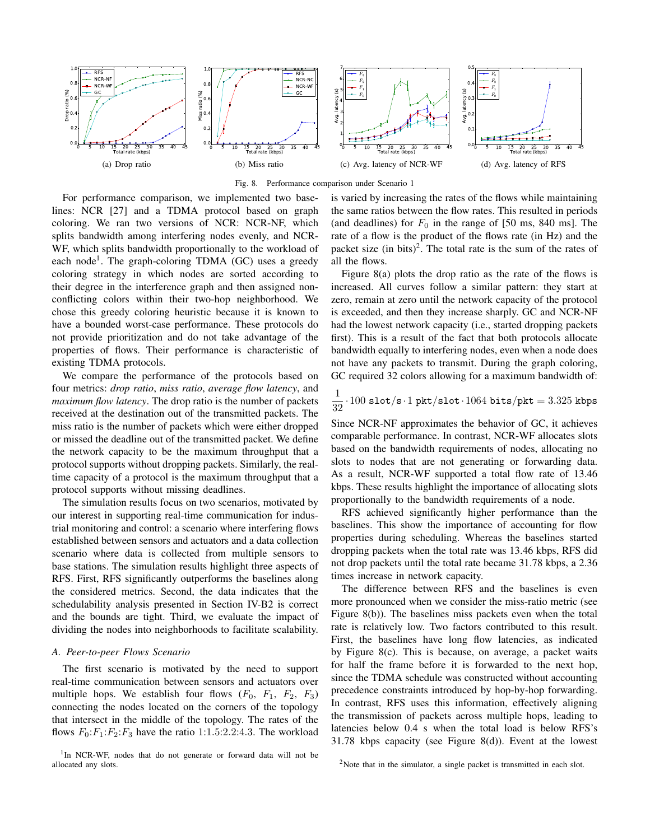



For performance comparison, we implemented two baselines: NCR [27] and a TDMA protocol based on graph coloring. We ran two versions of NCR: NCR-NF, which splits bandwidth among interfering nodes evenly, and NCR-WF, which splits bandwidth proportionally to the workload of each node<sup>1</sup>. The graph-coloring TDMA (GC) uses a greedy coloring strategy in which nodes are sorted according to their degree in the interference graph and then assigned nonconflicting colors within their two-hop neighborhood. We chose this greedy coloring heuristic because it is known to have a bounded worst-case performance. These protocols do not provide prioritization and do not take advantage of the properties of flows. Their performance is characteristic of existing TDMA protocols.

We compare the performance of the protocols based on four metrics: *drop ratio*, *miss ratio*, *average flow latency*, and *maximum flow latency*. The drop ratio is the number of packets received at the destination out of the transmitted packets. The miss ratio is the number of packets which were either dropped or missed the deadline out of the transmitted packet. We define the network capacity to be the maximum throughput that a protocol supports without dropping packets. Similarly, the realtime capacity of a protocol is the maximum throughput that a protocol supports without missing deadlines.

The simulation results focus on two scenarios, motivated by our interest in supporting real-time communication for industrial monitoring and control: a scenario where interfering flows established between sensors and actuators and a data collection scenario where data is collected from multiple sensors to base stations. The simulation results highlight three aspects of RFS. First, RFS significantly outperforms the baselines along the considered metrics. Second, the data indicates that the schedulability analysis presented in Section IV-B2 is correct and the bounds are tight. Third, we evaluate the impact of dividing the nodes into neighborhoods to facilitate scalability.

# *A. Peer-to-peer Flows Scenario*

The first scenario is motivated by the need to support real-time communication between sensors and actuators over multiple hops. We establish four flows  $(F_0, F_1, F_2, F_3)$ connecting the nodes located on the corners of the topology that intersect in the middle of the topology. The rates of the flows  $F_0: F_1: F_2: F_3$  have the ratio 1:1.5:2.2:4.3. The workload

<sup>1</sup>In NCR-WF, nodes that do not generate or forward data will not be allocated any slots.

is varied by increasing the rates of the flows while maintaining the same ratios between the flow rates. This resulted in periods (and deadlines) for  $F_0$  in the range of [50 ms, 840 ms]. The rate of a flow is the product of the flows rate (in Hz) and the packet size (in bits)<sup>2</sup>. The total rate is the sum of the rates of all the flows.

Figure 8(a) plots the drop ratio as the rate of the flows is increased. All curves follow a similar pattern: they start at zero, remain at zero until the network capacity of the protocol is exceeded, and then they increase sharply. GC and NCR-NF had the lowest network capacity (i.e., started dropping packets first). This is a result of the fact that both protocols allocate bandwidth equally to interfering nodes, even when a node does not have any packets to transmit. During the graph coloring, GC required 32 colors allowing for a maximum bandwidth of:

$$
\frac{1}{32} \cdot 100 \text{ slot/s} \cdot 1 \text{ plt/slot} \cdot 1064 \text{ bits/plt} = 3.325 \text{ kbps}
$$

Since NCR-NF approximates the behavior of GC, it achieves comparable performance. In contrast, NCR-WF allocates slots based on the bandwidth requirements of nodes, allocating no slots to nodes that are not generating or forwarding data. As a result, NCR-WF supported a total flow rate of 13.46 kbps. These results highlight the importance of allocating slots proportionally to the bandwidth requirements of a node.

RFS achieved significantly higher performance than the baselines. This show the importance of accounting for flow properties during scheduling. Whereas the baselines started dropping packets when the total rate was 13.46 kbps, RFS did not drop packets until the total rate became 31.78 kbps, a 2.36 times increase in network capacity.

The difference between RFS and the baselines is even more pronounced when we consider the miss-ratio metric (see Figure 8(b)). The baselines miss packets even when the total rate is relatively low. Two factors contributed to this result. First, the baselines have long flow latencies, as indicated by Figure 8(c). This is because, on average, a packet waits for half the frame before it is forwarded to the next hop, since the TDMA schedule was constructed without accounting precedence constraints introduced by hop-by-hop forwarding. In contrast, RFS uses this information, effectively aligning the transmission of packets across multiple hops, leading to latencies below 0.4 s when the total load is below RFS's 31.78 kbps capacity (see Figure 8(d)). Event at the lowest

<sup>2</sup>Note that in the simulator, a single packet is transmitted in each slot.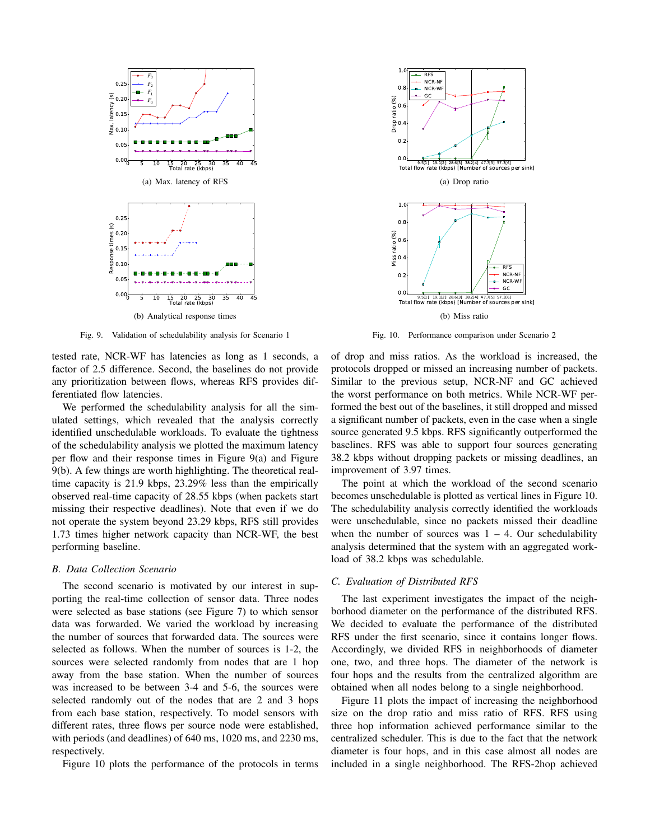

Fig. 9. Validation of schedulability analysis for Scenario 1

tested rate, NCR-WF has latencies as long as 1 seconds, a factor of 2.5 difference. Second, the baselines do not provide any prioritization between flows, whereas RFS provides differentiated flow latencies.

We performed the schedulability analysis for all the simulated settings, which revealed that the analysis correctly identified unschedulable workloads. To evaluate the tightness of the schedulability analysis we plotted the maximum latency per flow and their response times in Figure 9(a) and Figure 9(b). A few things are worth highlighting. The theoretical realtime capacity is 21.9 kbps, 23.29% less than the empirically observed real-time capacity of 28.55 kbps (when packets start missing their respective deadlines). Note that even if we do not operate the system beyond 23.29 kbps, RFS still provides 1.73 times higher network capacity than NCR-WF, the best performing baseline.

# *B. Data Collection Scenario*

The second scenario is motivated by our interest in supporting the real-time collection of sensor data. Three nodes were selected as base stations (see Figure 7) to which sensor data was forwarded. We varied the workload by increasing the number of sources that forwarded data. The sources were selected as follows. When the number of sources is 1-2, the sources were selected randomly from nodes that are 1 hop away from the base station. When the number of sources was increased to be between 3-4 and 5-6, the sources were selected randomly out of the nodes that are 2 and 3 hops from each base station, respectively. To model sensors with different rates, three flows per source node were established, with periods (and deadlines) of 640 ms, 1020 ms, and 2230 ms, respectively.

Figure 10 plots the performance of the protocols in terms



Fig. 10. Performance comparison under Scenario 2

of drop and miss ratios. As the workload is increased, the protocols dropped or missed an increasing number of packets. Similar to the previous setup, NCR-NF and GC achieved the worst performance on both metrics. While NCR-WF performed the best out of the baselines, it still dropped and missed a significant number of packets, even in the case when a single source generated 9.5 kbps. RFS significantly outperformed the baselines. RFS was able to support four sources generating 38.2 kbps without dropping packets or missing deadlines, an improvement of 3.97 times.

The point at which the workload of the second scenario becomes unschedulable is plotted as vertical lines in Figure 10. The schedulability analysis correctly identified the workloads were unschedulable, since no packets missed their deadline when the number of sources was  $1 - 4$ . Our schedulability analysis determined that the system with an aggregated workload of 38.2 kbps was schedulable.

# *C. Evaluation of Distributed RFS*

The last experiment investigates the impact of the neighborhood diameter on the performance of the distributed RFS. We decided to evaluate the performance of the distributed RFS under the first scenario, since it contains longer flows. Accordingly, we divided RFS in neighborhoods of diameter one, two, and three hops. The diameter of the network is four hops and the results from the centralized algorithm are obtained when all nodes belong to a single neighborhood.

Figure 11 plots the impact of increasing the neighborhood size on the drop ratio and miss ratio of RFS. RFS using three hop information achieved performance similar to the centralized scheduler. This is due to the fact that the network diameter is four hops, and in this case almost all nodes are included in a single neighborhood. The RFS-2hop achieved